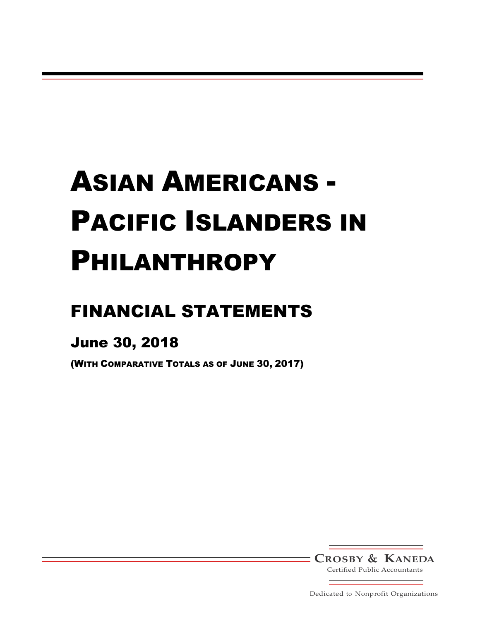# FINANCIAL STATEMENTS

# June 30, 2018

(WITH COMPARATIVE TOTALS AS OF JUNE 30, 2017)

**CROSBY & KANEDA**

Certified Public Accountants

Dedicated to Nonprofit Organizations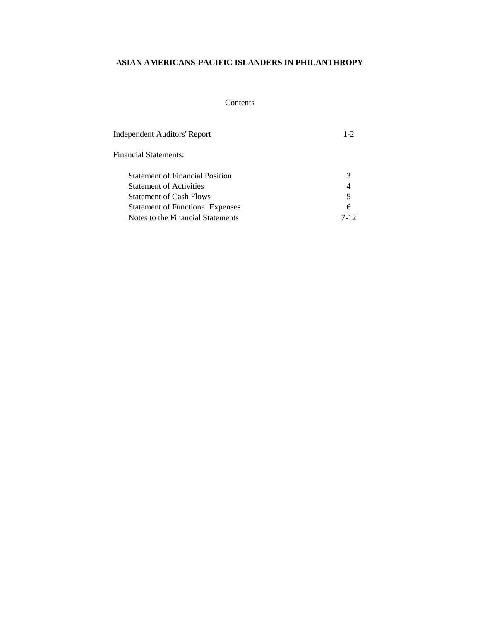# Contents

| Independent Auditors' Report            | $1 - 2$ |
|-----------------------------------------|---------|
| <b>Financial Statements:</b>            |         |
| <b>Statement of Financial Position</b>  | 3       |
| <b>Statement of Activities</b>          |         |
| <b>Statement of Cash Flows</b>          | 5       |
| <b>Statement of Functional Expenses</b> | 6       |
| Notes to the Financial Statements       | 7-12    |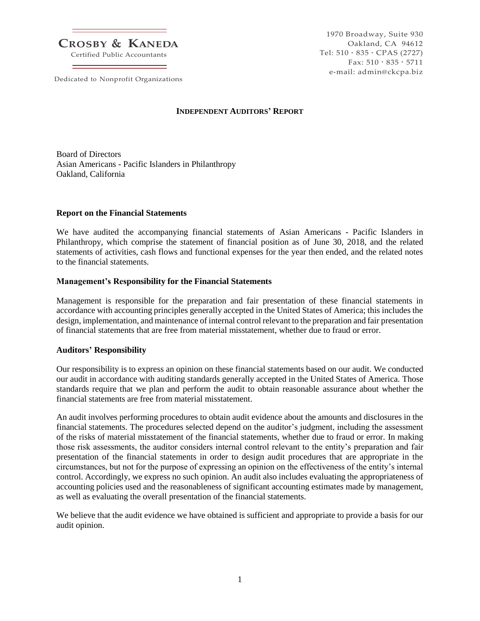**CROSBY & KANEDA**

Certified Public Accountants

Dedicated to Nonprofit Organizations

# 1970 Broadway, Suite 930 Oakland, CA 94612 Tel: 510 • 835 • CPAS (2727) Fax:  $510 \cdot 835 \cdot 5711$ e-mail: admin@ckcpa.biz

# **INDEPENDENT AUDITORS' REPORT**

Board of Directors Asian Americans - Pacific Islanders in Philanthropy Oakland, California

# **Report on the Financial Statements**

We have audited the accompanying financial statements of Asian Americans - Pacific Islanders in Philanthropy, which comprise the statement of financial position as of June 30, 2018, and the related statements of activities, cash flows and functional expenses for the year then ended, and the related notes to the financial statements.

# **Management's Responsibility for the Financial Statements**

Management is responsible for the preparation and fair presentation of these financial statements in accordance with accounting principles generally accepted in the United States of America; this includes the design, implementation, and maintenance of internal control relevant to the preparation and fair presentation of financial statements that are free from material misstatement, whether due to fraud or error.

# **Auditors' Responsibility**

Our responsibility is to express an opinion on these financial statements based on our audit. We conducted our audit in accordance with auditing standards generally accepted in the United States of America. Those standards require that we plan and perform the audit to obtain reasonable assurance about whether the financial statements are free from material misstatement.

An audit involves performing procedures to obtain audit evidence about the amounts and disclosures in the financial statements. The procedures selected depend on the auditor's judgment, including the assessment of the risks of material misstatement of the financial statements, whether due to fraud or error. In making those risk assessments, the auditor considers internal control relevant to the entity's preparation and fair presentation of the financial statements in order to design audit procedures that are appropriate in the circumstances, but not for the purpose of expressing an opinion on the effectiveness of the entity's internal control. Accordingly, we express no such opinion. An audit also includes evaluating the appropriateness of accounting policies used and the reasonableness of significant accounting estimates made by management, as well as evaluating the overall presentation of the financial statements.

We believe that the audit evidence we have obtained is sufficient and appropriate to provide a basis for our audit opinion.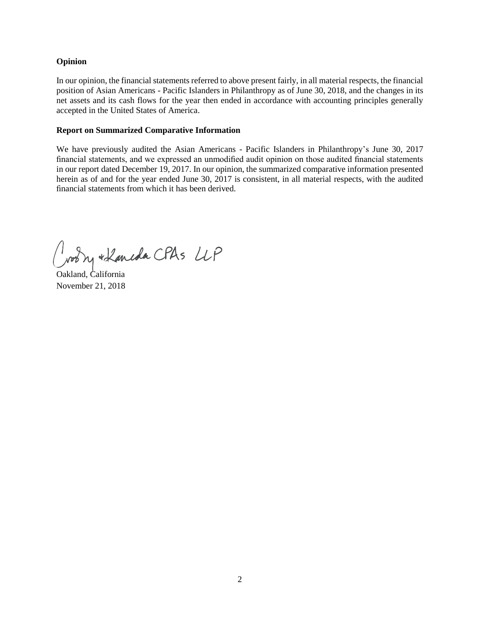# **Opinion**

In our opinion, the financial statements referred to above present fairly, in all material respects, the financial position of Asian Americans - Pacific Islanders in Philanthropy as of June 30, 2018, and the changes in its net assets and its cash flows for the year then ended in accordance with accounting principles generally accepted in the United States of America.

# **Report on Summarized Comparative Information**

We have previously audited the Asian Americans - Pacific Islanders in Philanthropy's June 30, 2017 financial statements, and we expressed an unmodified audit opinion on those audited financial statements in our report dated December 19, 2017. In our opinion, the summarized comparative information presented herein as of and for the year ended June 30, 2017 is consistent, in all material respects, with the audited financial statements from which it has been derived.

Wood ny & Kancola CPAS LLP<br>Oakland, California

November 21, 2018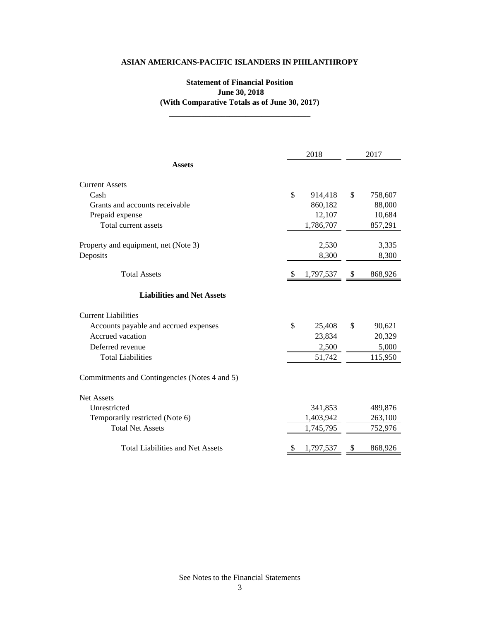# **Statement of Financial Position June 30, 2018 (With Comparative Totals as of June 30, 2017)**

**\_\_\_\_\_\_\_\_\_\_\_\_\_\_\_\_\_\_\_\_\_\_\_\_\_\_\_\_\_\_\_\_\_\_\_**

|                                               |    | 2018      | 2017 |         |  |
|-----------------------------------------------|----|-----------|------|---------|--|
| <b>Assets</b>                                 |    |           |      |         |  |
| <b>Current Assets</b>                         |    |           |      |         |  |
| Cash                                          | \$ | 914,418   | \$   | 758,607 |  |
| Grants and accounts receivable                |    | 860,182   |      | 88,000  |  |
| Prepaid expense                               |    | 12,107    |      | 10,684  |  |
| Total current assets                          |    | 1,786,707 |      | 857,291 |  |
| Property and equipment, net (Note 3)          |    | 2,530     |      | 3,335   |  |
| Deposits                                      |    | 8,300     |      | 8,300   |  |
| <b>Total Assets</b>                           | S  | 1,797,537 | \$   | 868,926 |  |
| <b>Liabilities and Net Assets</b>             |    |           |      |         |  |
| <b>Current Liabilities</b>                    |    |           |      |         |  |
| Accounts payable and accrued expenses         | \$ | 25,408    | \$   | 90,621  |  |
| Accrued vacation                              |    | 23,834    |      | 20,329  |  |
| Deferred revenue                              |    | 2,500     |      | 5,000   |  |
| <b>Total Liabilities</b>                      |    | 51,742    |      | 115,950 |  |
| Commitments and Contingencies (Notes 4 and 5) |    |           |      |         |  |
| <b>Net Assets</b>                             |    |           |      |         |  |
| Unrestricted                                  |    | 341,853   |      | 489,876 |  |
| Temporarily restricted (Note 6)               |    | 1,403,942 |      | 263,100 |  |
| <b>Total Net Assets</b>                       |    | 1,745,795 |      | 752,976 |  |
| <b>Total Liabilities and Net Assets</b>       |    | 1,797,537 | \$   | 868,926 |  |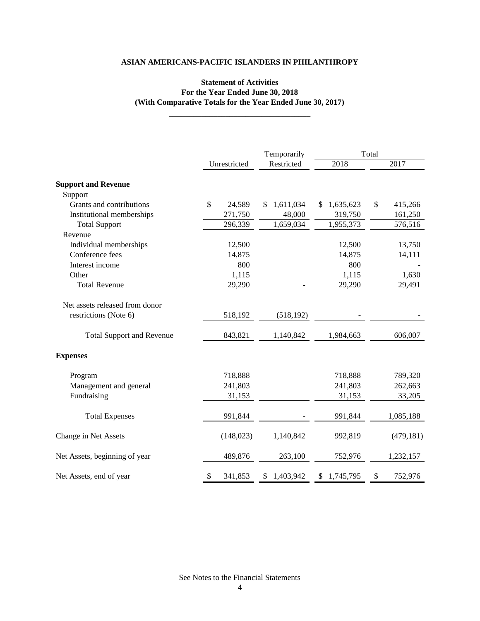# **Statement of Activities For the Year Ended June 30, 2018 (With Comparative Totals for the Year Ended June 30, 2017)**

**\_\_\_\_\_\_\_\_\_\_\_\_\_\_\_\_\_\_\_\_\_\_\_\_\_\_\_\_\_\_\_\_\_\_\_**

|                                  |               | Temporarily     | Total           |    |            |  |  |
|----------------------------------|---------------|-----------------|-----------------|----|------------|--|--|
|                                  | Unrestricted  | Restricted      | 2018            |    | 2017       |  |  |
| <b>Support and Revenue</b>       |               |                 |                 |    |            |  |  |
| Support                          |               |                 |                 |    |            |  |  |
| Grants and contributions         | \$<br>24,589  | 1,611,034<br>\$ | 1,635,623<br>S  | \$ | 415,266    |  |  |
| Institutional memberships        | 271,750       | 48,000          | 319,750         |    | 161,250    |  |  |
| <b>Total Support</b>             | 296,339       | 1,659,034       | 1,955,373       |    | 576,516    |  |  |
| Revenue                          |               |                 |                 |    |            |  |  |
| Individual memberships           | 12,500        |                 | 12,500          |    | 13,750     |  |  |
| Conference fees                  | 14,875        |                 | 14,875          |    | 14,111     |  |  |
| Interest income                  | 800           |                 | 800             |    |            |  |  |
| Other                            | 1,115         |                 | 1,115           |    | 1,630      |  |  |
| <b>Total Revenue</b>             | 29,290        |                 | 29,290          |    | 29,491     |  |  |
| Net assets released from donor   |               |                 |                 |    |            |  |  |
| restrictions (Note 6)            | 518,192       | (518, 192)      |                 |    |            |  |  |
| <b>Total Support and Revenue</b> | 843,821       | 1,140,842       | 1,984,663       |    | 606,007    |  |  |
| <b>Expenses</b>                  |               |                 |                 |    |            |  |  |
| Program                          | 718,888       |                 | 718,888         |    | 789,320    |  |  |
| Management and general           | 241,803       |                 | 241,803         |    | 262,663    |  |  |
| Fundraising                      | 31,153        |                 | 31,153          |    | 33,205     |  |  |
| <b>Total Expenses</b>            | 991,844       |                 | 991,844         |    | 1,085,188  |  |  |
| Change in Net Assets             | (148, 023)    | 1,140,842       | 992,819         |    | (479, 181) |  |  |
| Net Assets, beginning of year    | 489,876       | 263,100         | 752,976         |    | 1,232,157  |  |  |
| Net Assets, end of year          | \$<br>341,853 | 1,403,942<br>\$ | 1,745,795<br>\$ | \$ | 752,976    |  |  |

See Notes to the Financial Statements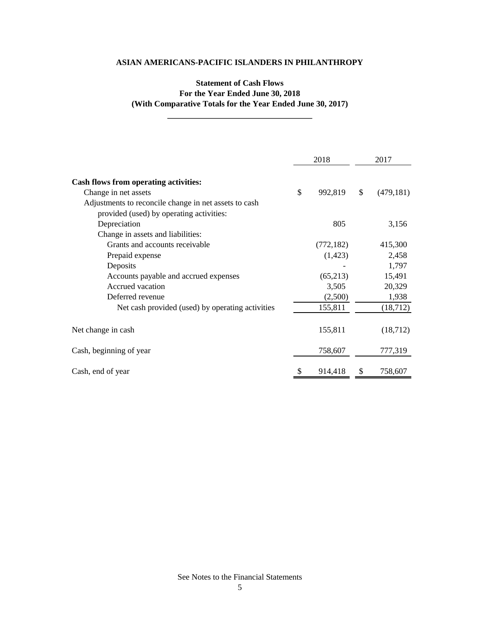# **Statement of Cash Flows For the Year Ended June 30, 2018 (With Comparative Totals for the Year Ended June 30, 2017)**

|                                                       | 2018 |            |              | 2017       |  |  |
|-------------------------------------------------------|------|------------|--------------|------------|--|--|
| Cash flows from operating activities:                 |      |            |              |            |  |  |
| Change in net assets                                  | \$   | 992,819    | $\mathbb{S}$ | (479, 181) |  |  |
| Adjustments to reconcile change in net assets to cash |      |            |              |            |  |  |
| provided (used) by operating activities:              |      |            |              |            |  |  |
| Depreciation                                          |      | 805        |              | 3,156      |  |  |
| Change in assets and liabilities:                     |      |            |              |            |  |  |
| Grants and accounts receivable                        |      | (772, 182) |              | 415,300    |  |  |
| Prepaid expense                                       |      | (1,423)    |              | 2,458      |  |  |
| Deposits                                              |      |            |              | 1,797      |  |  |
| Accounts payable and accrued expenses                 |      | (65,213)   |              | 15,491     |  |  |
| Accrued vacation                                      |      | 3,505      |              | 20,329     |  |  |
| Deferred revenue                                      |      | (2,500)    |              | 1,938      |  |  |
| Net cash provided (used) by operating activities      |      | 155,811    |              | (18, 712)  |  |  |
| Net change in cash                                    |      | 155,811    |              | (18,712)   |  |  |
| Cash, beginning of year                               |      | 758,607    |              | 777,319    |  |  |
| Cash, end of year                                     | S    | 914,418    |              | 758,607    |  |  |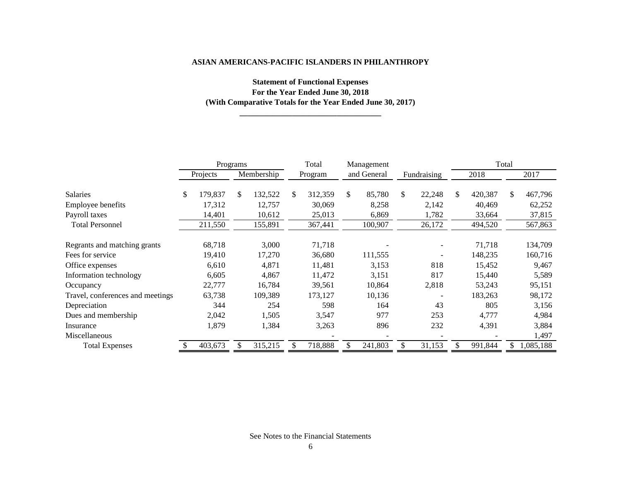**Statement of Functional Expenses For the Year Ended June 30, 2018 (With Comparative Totals for the Year Ended June 30, 2017)**

**\_\_\_\_\_\_\_\_\_\_\_\_\_\_\_\_\_\_\_\_\_\_\_\_\_\_\_\_\_\_\_\_\_\_\_**

|                                  | Programs      |               | Total<br>Management |         |    |             |    | Total       |    |         |    |           |
|----------------------------------|---------------|---------------|---------------------|---------|----|-------------|----|-------------|----|---------|----|-----------|
|                                  | Projects      | Membership    |                     | Program |    | and General |    | Fundraising |    | 2018    |    | 2017      |
| Salaries                         | \$<br>179,837 | \$<br>132,522 | \$.                 | 312,359 | \$ | 85,780      | \$ | 22,248      | \$ | 420,387 | \$ | 467,796   |
| Employee benefits                | 17,312        | 12,757        |                     | 30,069  |    | 8,258       |    | 2,142       |    | 40,469  |    | 62,252    |
| Payroll taxes                    | 14,401        | 10,612        |                     | 25,013  |    | 6,869       |    | 1,782       |    | 33,664  |    | 37,815    |
| <b>Total Personnel</b>           | 211,550       | 155,891       |                     | 367,441 |    | 100,907     |    | 26,172      |    | 494,520 |    | 567,863   |
|                                  |               |               |                     |         |    |             |    |             |    |         |    |           |
| Regrants and matching grants     | 68,718        | 3,000         |                     | 71,718  |    |             |    |             |    | 71,718  |    | 134,709   |
| Fees for service                 | 19,410        | 17,270        |                     | 36,680  |    | 111,555     |    |             |    | 148,235 |    | 160,716   |
| Office expenses                  | 6,610         | 4,871         |                     | 11,481  |    | 3,153       |    | 818         |    | 15,452  |    | 9,467     |
| Information technology           | 6,605         | 4,867         |                     | 11,472  |    | 3,151       |    | 817         |    | 15,440  |    | 5,589     |
| Occupancy                        | 22,777        | 16,784        |                     | 39,561  |    | 10,864      |    | 2,818       |    | 53,243  |    | 95,151    |
| Travel, conferences and meetings | 63,738        | 109,389       |                     | 173,127 |    | 10,136      |    |             |    | 183,263 |    | 98,172    |
| Depreciation                     | 344           | 254           |                     | 598     |    | 164         |    | 43          |    | 805     |    | 3,156     |
| Dues and membership              | 2,042         | 1,505         |                     | 3,547   |    | 977         |    | 253         |    | 4,777   |    | 4,984     |
| Insurance                        | 1,879         | 1,384         |                     | 3,263   |    | 896         |    | 232         |    | 4,391   |    | 3,884     |
| Miscellaneous                    |               |               |                     |         |    |             |    |             |    |         |    | 1,497     |
| <b>Total Expenses</b>            | 403,673       | 315,215       |                     | 718,888 |    | 241,803     |    | 31,153      |    | 991,844 |    | 1,085,188 |

See Notes to the Financial Statements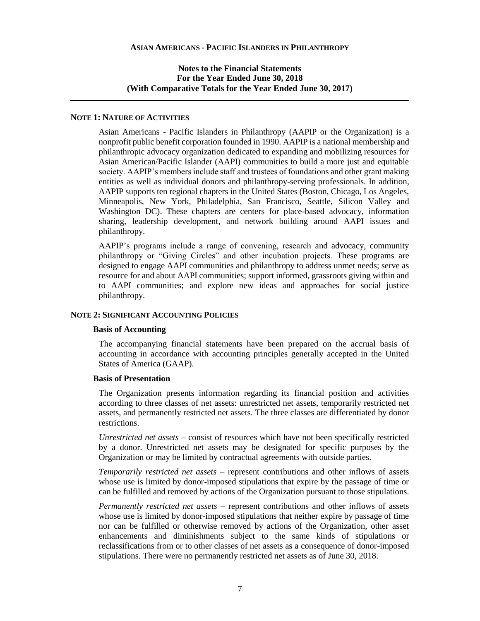# **NOTE 1: NATURE OF ACTIVITIES**

Asian Americans - Pacific Islanders in Philanthropy (AAPIP or the Organization) is a nonprofit public benefit corporation founded in 1990. AAPIP is a national membership and philanthropic advocacy organization dedicated to expanding and mobilizing resources for Asian American/Pacific Islander (AAPI) communities to build a more just and equitable society. AAPIP's members include staff and trustees of foundations and other grant making entities as well as individual donors and philanthropy-serving professionals. In addition, AAPIP supports ten regional chapters in the United States (Boston, Chicago, Los Angeles, Minneapolis, New York, Philadelphia, San Francisco, Seattle, Silicon Valley and Washington DC). These chapters are centers for place-based advocacy, information sharing, leadership development, and network building around AAPI issues and philanthropy.

AAPIP's programs include a range of convening, research and advocacy, community philanthropy or "Giving Circles" and other incubation projects. These programs are designed to engage AAPI communities and philanthropy to address unmet needs; serve as resource for and about AAPI communities; support informed, grassroots giving within and to AAPI communities; and explore new ideas and approaches for social justice philanthropy.

#### **NOTE 2: SIGNIFICANT ACCOUNTING POLICIES**

#### **Basis of Accounting**

The accompanying financial statements have been prepared on the accrual basis of accounting in accordance with accounting principles generally accepted in the United States of America (GAAP).

#### **Basis of Presentation**

The Organization presents information regarding its financial position and activities according to three classes of net assets: unrestricted net assets, temporarily restricted net assets, and permanently restricted net assets. The three classes are differentiated by donor restrictions.

*Unrestricted net assets* – consist of resources which have not been specifically restricted by a donor. Unrestricted net assets may be designated for specific purposes by the Organization or may be limited by contractual agreements with outside parties.

*Temporarily restricted net assets* – represent contributions and other inflows of assets whose use is limited by donor-imposed stipulations that expire by the passage of time or can be fulfilled and removed by actions of the Organization pursuant to those stipulations.

*Permanently restricted net assets* – represent contributions and other inflows of assets whose use is limited by donor-imposed stipulations that neither expire by passage of time nor can be fulfilled or otherwise removed by actions of the Organization, other asset enhancements and diminishments subject to the same kinds of stipulations or reclassifications from or to other classes of net assets as a consequence of donor-imposed stipulations. There were no permanently restricted net assets as of June 30, 2018.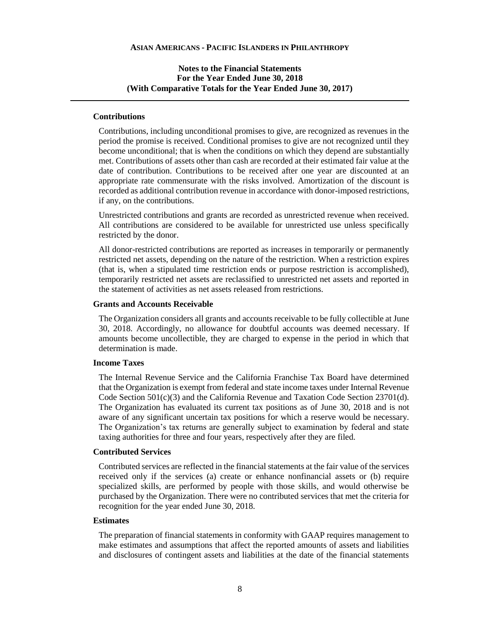# **Contributions**

Contributions, including unconditional promises to give, are recognized as revenues in the period the promise is received. Conditional promises to give are not recognized until they become unconditional; that is when the conditions on which they depend are substantially met. Contributions of assets other than cash are recorded at their estimated fair value at the date of contribution. Contributions to be received after one year are discounted at an appropriate rate commensurate with the risks involved. Amortization of the discount is recorded as additional contribution revenue in accordance with donor-imposed restrictions, if any, on the contributions.

Unrestricted contributions and grants are recorded as unrestricted revenue when received. All contributions are considered to be available for unrestricted use unless specifically restricted by the donor.

All donor-restricted contributions are reported as increases in temporarily or permanently restricted net assets, depending on the nature of the restriction. When a restriction expires (that is, when a stipulated time restriction ends or purpose restriction is accomplished), temporarily restricted net assets are reclassified to unrestricted net assets and reported in the statement of activities as net assets released from restrictions.

#### **Grants and Accounts Receivable**

The Organization considers all grants and accounts receivable to be fully collectible at June 30, 2018. Accordingly, no allowance for doubtful accounts was deemed necessary. If amounts become uncollectible, they are charged to expense in the period in which that determination is made.

#### **Income Taxes**

The Internal Revenue Service and the California Franchise Tax Board have determined that the Organization is exempt from federal and state income taxes under Internal Revenue Code Section 501(c)(3) and the California Revenue and Taxation Code Section 23701(d). The Organization has evaluated its current tax positions as of June 30, 2018 and is not aware of any significant uncertain tax positions for which a reserve would be necessary. The Organization's tax returns are generally subject to examination by federal and state taxing authorities for three and four years, respectively after they are filed.

#### **Contributed Services**

Contributed services are reflected in the financial statements at the fair value of the services received only if the services (a) create or enhance nonfinancial assets or (b) require specialized skills, are performed by people with those skills, and would otherwise be purchased by the Organization. There were no contributed services that met the criteria for recognition for the year ended June 30, 2018.

#### **Estimates**

The preparation of financial statements in conformity with GAAP requires management to make estimates and assumptions that affect the reported amounts of assets and liabilities and disclosures of contingent assets and liabilities at the date of the financial statements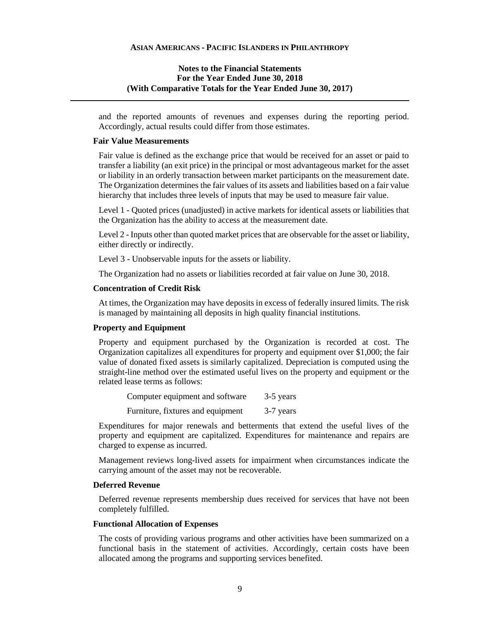and the reported amounts of revenues and expenses during the reporting period. Accordingly, actual results could differ from those estimates.

#### **Fair Value Measurements**

Fair value is defined as the exchange price that would be received for an asset or paid to transfer a liability (an exit price) in the principal or most advantageous market for the asset or liability in an orderly transaction between market participants on the measurement date. The Organization determines the fair values of its assets and liabilities based on a fair value hierarchy that includes three levels of inputs that may be used to measure fair value.

Level 1 - Quoted prices (unadjusted) in active markets for identical assets or liabilities that the Organization has the ability to access at the measurement date.

Level 2 - Inputs other than quoted market prices that are observable for the asset or liability, either directly or indirectly.

Level 3 - Unobservable inputs for the assets or liability.

The Organization had no assets or liabilities recorded at fair value on June 30, 2018.

#### **Concentration of Credit Risk**

At times, the Organization may have deposits in excess of federally insured limits. The risk is managed by maintaining all deposits in high quality financial institutions.

# **Property and Equipment**

Property and equipment purchased by the Organization is recorded at cost. The Organization capitalizes all expenditures for property and equipment over \$1,000; the fair value of donated fixed assets is similarly capitalized. Depreciation is computed using the straight-line method over the estimated useful lives on the property and equipment or the related lease terms as follows:

| Computer equipment and software   | 3-5 years |
|-----------------------------------|-----------|
| Furniture, fixtures and equipment | 3-7 years |

Expenditures for major renewals and betterments that extend the useful lives of the property and equipment are capitalized. Expenditures for maintenance and repairs are charged to expense as incurred.

Management reviews long-lived assets for impairment when circumstances indicate the carrying amount of the asset may not be recoverable.

#### **Deferred Revenue**

Deferred revenue represents membership dues received for services that have not been completely fulfilled.

#### **Functional Allocation of Expenses**

The costs of providing various programs and other activities have been summarized on a functional basis in the statement of activities. Accordingly, certain costs have been allocated among the programs and supporting services benefited.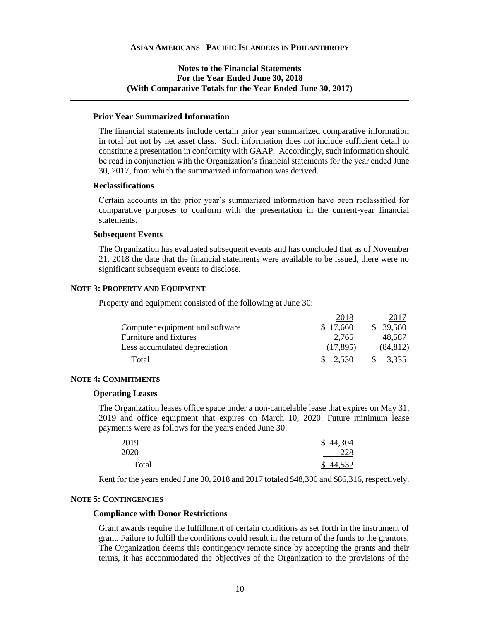# **Prior Year Summarized Information**

The financial statements include certain prior year summarized comparative information in total but not by net asset class. Such information does not include sufficient detail to constitute a presentation in conformity with GAAP. Accordingly, such information should be read in conjunction with the Organization's financial statements for the year ended June 30, 2017, from which the summarized information was derived.

#### **Reclassifications**

Certain accounts in the prior year's summarized information have been reclassified for comparative purposes to conform with the presentation in the current-year financial statements.

#### **Subsequent Events**

The Organization has evaluated subsequent events and has concluded that as of November 21, 2018 the date that the financial statements were available to be issued, there were no significant subsequent events to disclose.

#### **NOTE 3: PROPERTY AND EQUIPMENT**

Property and equipment consisted of the following at June 30:

|                                 | 2018     | 2017     |
|---------------------------------|----------|----------|
| Computer equipment and software | \$17,660 | \$39,560 |
| Furniture and fixtures          | 2.765    | 48.587   |
| Less accumulated depreciation   | (17.895) | (84.812) |
| Total                           |          |          |

### **NOTE 4: COMMITMENTS**

#### **Operating Leases**

The Organization leases office space under a non-cancelable lease that expires on May 31, 2019 and office equipment that expires on March 10, 2020. Future minimum lease payments were as follows for the years ended June 30:

| 2019  | \$44,304 |
|-------|----------|
| 2020  | 228      |
| Total | \$44,532 |

Rent for the years ended June 30, 2018 and 2017 totaled \$48,300 and \$86,316, respectively.

#### **NOTE 5: CONTINGENCIES**

#### **Compliance with Donor Restrictions**

Grant awards require the fulfillment of certain conditions as set forth in the instrument of grant. Failure to fulfill the conditions could result in the return of the funds to the grantors. The Organization deems this contingency remote since by accepting the grants and their terms, it has accommodated the objectives of the Organization to the provisions of the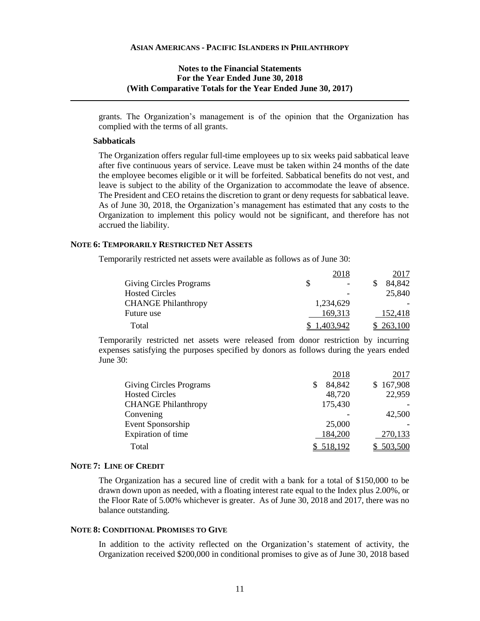grants. The Organization's management is of the opinion that the Organization has complied with the terms of all grants.

#### **Sabbaticals**

The Organization offers regular full-time employees up to six weeks paid sabbatical leave after five continuous years of service. Leave must be taken within 24 months of the date the employee becomes eligible or it will be forfeited. Sabbatical benefits do not vest, and leave is subject to the ability of the Organization to accommodate the leave of absence. The President and CEO retains the discretion to grant or deny requests for sabbatical leave. As of June 30, 2018, the Organization's management has estimated that any costs to the Organization to implement this policy would not be significant, and therefore has not accrued the liability.

#### **NOTE 6: TEMPORARILY RESTRICTED NET ASSETS**

Temporarily restricted net assets were available as follows as of June 30:

|                                | 2018                          | 2017      |
|--------------------------------|-------------------------------|-----------|
| <b>Giving Circles Programs</b> | S<br>$\overline{\phantom{a}}$ | 84,842    |
| <b>Hosted Circles</b>          | -                             | 25,840    |
| <b>CHANGE Philanthropy</b>     | 1,234,629                     |           |
| Future use                     | 169,313                       | 152.418   |
| Total                          | .403.942                      | \$263,100 |

Temporarily restricted net assets were released from donor restriction by incurring expenses satisfying the purposes specified by donors as follows during the years ended June 30:

|                                | 2018        | 2017      |
|--------------------------------|-------------|-----------|
| <b>Giving Circles Programs</b> | 84,842<br>S | \$167,908 |
| <b>Hosted Circles</b>          | 48,720      | 22,959    |
| <b>CHANGE Philanthropy</b>     | 175,430     |           |
| Convening                      |             | 42,500    |
| Event Sponsorship              | 25,000      |           |
| Expiration of time             | 184,200     | 270,133   |
| Total                          | \$518,192   | 503,500   |

#### **NOTE 7: LINE OF CREDIT**

The Organization has a secured line of credit with a bank for a total of \$150,000 to be drawn down upon as needed, with a floating interest rate equal to the Index plus 2.00%, or the Floor Rate of 5.00% whichever is greater. As of June 30, 2018 and 2017, there was no balance outstanding.

#### **NOTE 8: CONDITIONAL PROMISES TO GIVE**

In addition to the activity reflected on the Organization's statement of activity, the Organization received \$200,000 in conditional promises to give as of June 30, 2018 based